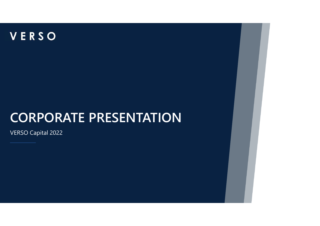### **CORPORATE PRESENTATION**

VERSO Capital 2022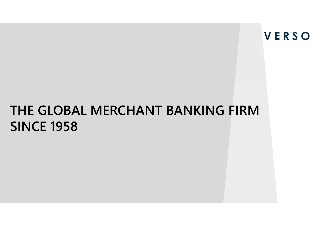### **THE GLOBAL MERCHANT BANKING FIRMSINCE 1958**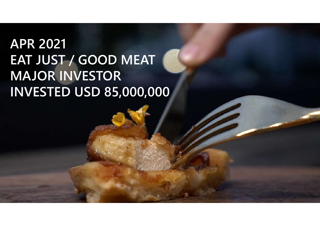# **APR <sup>2021</sup> EAT JUST / GOOD MEAT MAJOR INVESTOR INVESTED USD 85,000,000**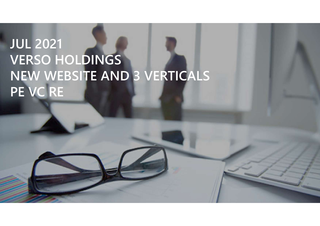# **JUL 2021 VERSO HOLDINGS NEW WEBSITE AND 3 VERTICALSPE VC RE**

**4**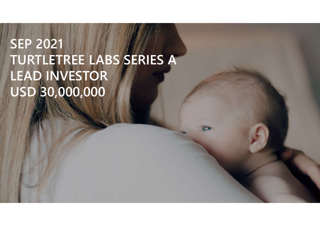# **SEP <sup>2021</sup> TURTLETREE LABS SERIES <sup>A</sup>LEAD INVESTOR USD 30,000,000**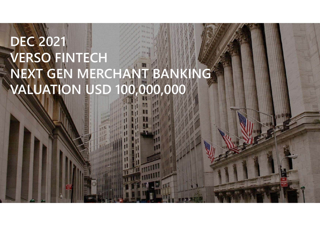# **DEC 2021 VERSO FINTECHNEXT GEN MERCHANT BANKINGVALUATION USD 100,000,000**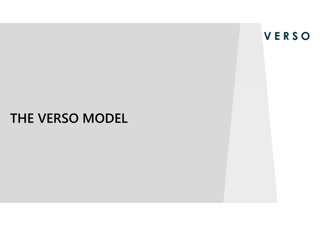### **THE VERSO MODEL**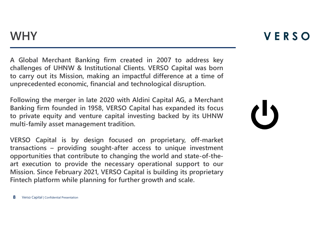**<sup>A</sup> Global Merchant Banking firm created in <sup>2007</sup> to address key challenges of UHNW & Institutional Clients. VERSO Capital was born** to carry out its Mission, making an impactful difference at a time of **unprecedented economic, financial and technological disruption.**

Following the merger in late 2020 with Aldini Capital AG, a Merchant **Banking firm founded in 1958, VERSO Capital has expanded its focus** to private equity and venture capital investing backed by its UHNW **multi-family asset managemen<sup>t</sup> tradition.**

**VERSO Capital is by design focused on proprietary, off-market transactions – providing sought-after access to unique investment opportunities that contribute to changing the world and state-of-theart execution to provide the necessary operational support to our Mission. Since February 2021, VERSO Capital is building its proprietary Fintech <sup>p</sup>latform while <sup>p</sup>lanning for further growth and scale.**

VERSO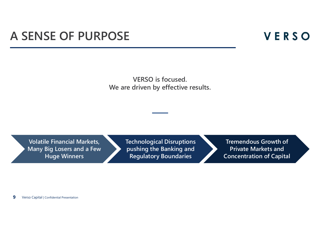#### **A SENSE OF PURPOSE**

#### VERSO

#### **VERSO is focused.We are driven by effective results.**

**Volatile Financial Markets, Many Big Losers and a Few Huge Winners**

**Technological Disruptions pushing the Banking and Regulatory Boundaries**

**Tremendous Growth of Private Markets and Concentration of Capital**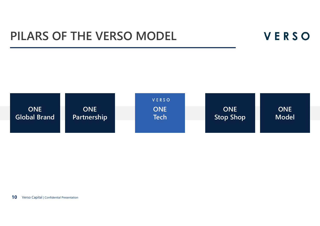#### **PILARS OF THE VERSO MODEL**



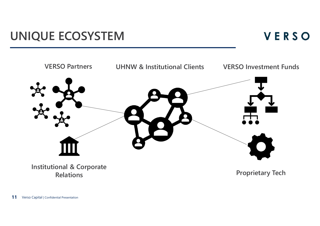### **UNIQUE ECOSYSTEM**

#### VERSO

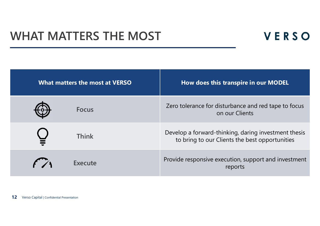#### **WHAT MATTERS THE MOST**

#### VERSO

| What matters the most at VERSO |              | How does this transpire in our MODEL                                                                   |  |
|--------------------------------|--------------|--------------------------------------------------------------------------------------------------------|--|
|                                | <b>Focus</b> | Zero tolerance for disturbance and red tape to focus<br>on our Clients                                 |  |
|                                | <b>Think</b> | Develop a forward-thinking, daring investment thesis<br>to bring to our Clients the best opportunities |  |
|                                | Execute      | Provide responsive execution, support and investment<br>reports                                        |  |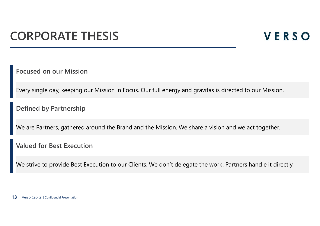#### **CORPORATE THESIS**

#### VERSO

**Focused on our Mission**

Every single day, keeping our Mission in Focus. Our full energy and gravitas is directed to our Mission.

**Defined by Partnership**

We are Partners, gathered around the Brand and the Mission. We share <sup>a</sup> vision and we act together.

**Valued for Best Execution**

We strive to provide Best Execution to our Clients. We don't delegate the work. Partners handle it directly.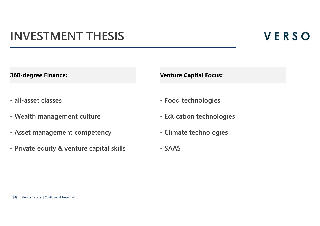#### **INVESTMENT THESIS**

#### VERSO

- **- all-asset classes**
- **- Wealth management culture**
- **- Asset management competency**
- **- Private equity & venture capital skills**

**360-degree Finance: Venture Capital Focus:**

- **- Food technologies**
- **- Education technologies**
- **- Climate technologies**
- **- SAAS**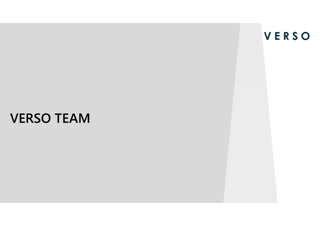## **VERSO TEAM**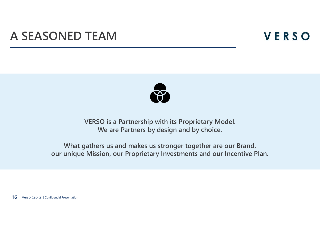#### **A SEASONED TEAM**

#### VERSO



**VERSO is a Partnership with its Proprietary Model.We are Partners by design and by choice.**

**What gathers us and makes us stronger together are our Brand,our unique Mission, our Proprietary Investments and our Incentive Plan.**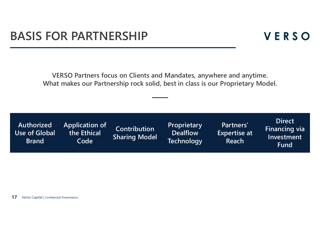**VERSO Partners focus on Clients and Mandates, anywhere and anytime.What makes our Partnership rock solid, best in class is our Proprietary Model.**

| <b>Authorized</b><br>Use of Global<br><b>Brand</b> | <b>Application of</b><br>I the Ethical <sup>1</sup><br>Code | <b>Contribution</b><br><b>Sharing Model</b> | Proprietary<br><b>Dealflow</b><br><b>Technology</b> | Partners'<br><b>Expertise at</b><br>Reach | <b>Direct</b><br><b>Financing via</b><br>Investment<br><b>Fund</b> |
|----------------------------------------------------|-------------------------------------------------------------|---------------------------------------------|-----------------------------------------------------|-------------------------------------------|--------------------------------------------------------------------|
|----------------------------------------------------|-------------------------------------------------------------|---------------------------------------------|-----------------------------------------------------|-------------------------------------------|--------------------------------------------------------------------|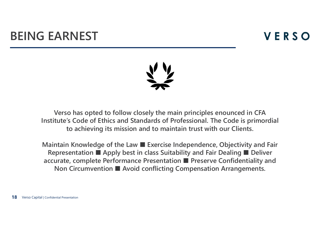#### **BEING EARNEST**

#### VERSO



**Verso has opted to follow closely the main principles enounced in CFA Institute's Code of Ethics and Standards of Professional. The Code is primordial to achieving its mission and to maintain trust with our Clients.** 

**Maintain Knowledge of the Law ■ Exercise Independence, Objectivity and Fair Representation ■ Apply best in class Suitability and Fair Dealing ■ Deliver accurate, complete Performance Presentation ■ Preserve Confidentiality and Non Circumvention ■ Avoid conflicting Compensation Arrangements.**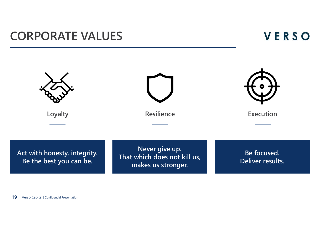#### **CORPORATE VALUES**

#### VERSO

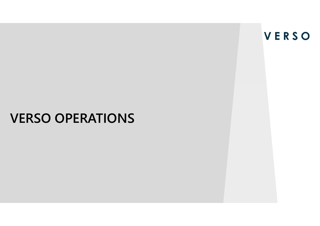### **VERSO OPERATIONS**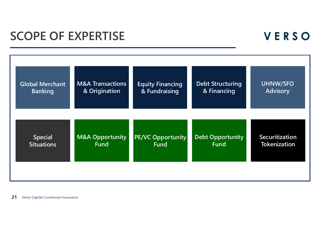#### **SCOPE OF EXPERTISE**

#### VERSO

| <b>Global Merchant</b> | <b>M&amp;A Transactions</b> | <b>Equity Financing</b>  | <b>Debt Structuring</b> | <b>UHNW/SFO</b>     |
|------------------------|-----------------------------|--------------------------|-------------------------|---------------------|
| <b>Banking</b>         | & Origination               | & Fundraising            | & Financing             | <b>Advisory</b>     |
| <b>Special</b>         | <b>M&amp;A Opportunity</b>  | <b>PE/VC Opportunity</b> | <b>Debt Opportunity</b> | Securitization      |
| <b>Situations</b>      | <b>Fund</b>                 | <b>Fund</b>              | <b>Fund</b>             | <b>Tokenization</b> |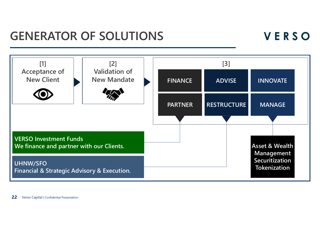#### **GENERATOR OF SOLUTIONS**



VERSO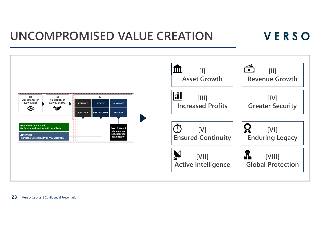#### **UNCOMPROMISED VALUE CREATION**



VERSO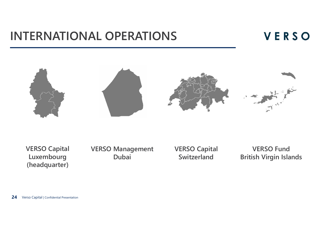#### **INTERNATIONAL OPERATIONS**

VERSO



**VERSO Capital Luxembourg(headquarter)**

**VERSO ManagementDubai**

**VERSO CapitalSwitzerland**

**VERSO FundBritish Virgin Islands**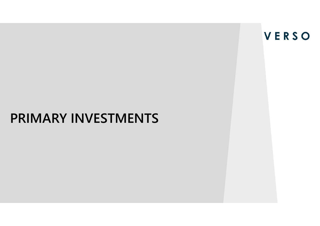### **PRIMARY INVESTMENTS**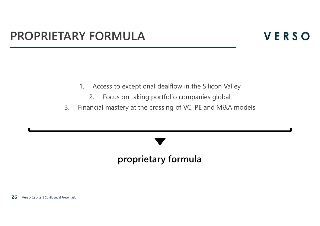- 1. Access to exceptional dealflow in the Silicon Valley
	- 2. Focus on taking portfolio companies global
- 3. Financial mastery at the crossing of VC, PE and M&A models

#### **proprietary formula**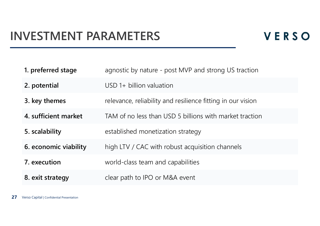#### **INVESTMENT PARAMETERS**

#### VERSO

| 1. preferred stage    | agnostic by nature - post MVP and strong US traction        |
|-----------------------|-------------------------------------------------------------|
| 2. potential          | USD 1+ billion valuation                                    |
| 3. key themes         | relevance, reliability and resilience fitting in our vision |
| 4. sufficient market  | TAM of no less than USD 5 billions with market traction     |
| 5. scalability        | established monetization strategy                           |
| 6. economic viability | high LTV / CAC with robust acquisition channels             |
| 7. execution          | world-class team and capabilities                           |
| 8. exit strategy      | clear path to IPO or M&A event                              |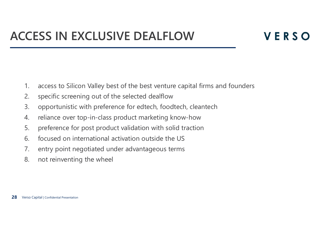- 1. access to Silicon Valley best of the best venture capital firms and founders
- 2. specific screening out of the selected dealflow
- 3. opportunistic with preference for edtech, foodtech, cleantech
- 4. reliance over top-in-class product marketing know-how
- 5. preference for post product validation with solid traction
- 6. focused on international activation outside the US
- 7. entry point negotiated under advantageous terms
- 8. not reinventing the wheel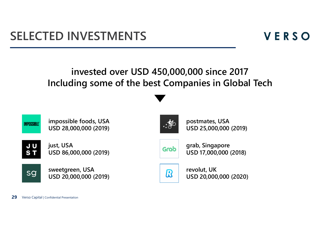#### **invested over USD 450,000,000 since 2017Including some of the best Companies in Global Tech**



**impossible foods, USAUSD 28,000,000 (2019)**



**postmates, USAUSD 25,000,000 (2019)**

JU ST

sg

**just, USAUSD 86,000,000 (2019)**

**sweetgreen, USAUSD 20,000,000 (2019)**



**grab, SingaporeUSD 17,000,000 (2018)**

 ${\boldsymbol{\mathcal{R}}}$ 

**revolut, UKUSD 20,000,000 (2020)**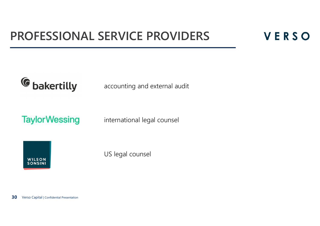#### **PROFESSIONAL SERVICE PROVIDERS**

#### VERSO



accounting and external audit

**TaylorWessing** 

international legal counsel



US legal counsel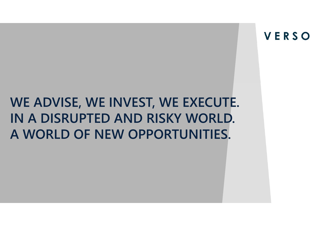## **WE ADVISE, WE INVEST, WE EXECUTE.IN A DISRUPTED AND RISKY WORLD.A WORLD OF NEW OPPORTUNITIES.**